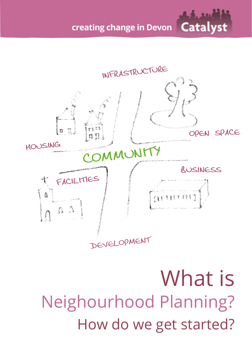**creating change in Devon**



What is Neighourhood Planning? How do we get started?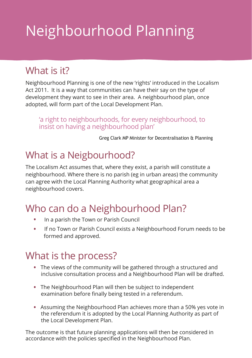# Neighbourhood Planning

#### What is it?

Neighbourhood Planning is one of the new 'rights' introduced in the Localism Act 2011. It is a way that communities can have their say on the type of development they want to see in their area. A neighbourhood plan, once adopted, will form part of the Local Development Plan.

'a right to neighbourhoods, for every neighbourhood, to insist on having a neighbourhood plan'

Greg Clark MP Minister for Decentralisation & Planning

#### What is a Neigbourhood?

The Localism Act assumes that, where they exist, a parish will constitute a neighbourhood. Where there is no parish (eg in urban areas) the community can agree with the Local Planning Authority what geographical area a neighbourhood covers.

### Who can do a Neighbourhood Plan?

- . In a parish the Town or Parish Council
- . If no Town or Parish Council exists a Neighbourhood Forum needs to be formed and approved.

#### What is the process?

- . The views of the community will be gathered through a structured and inclusive consultation process and a Neighbourhood Plan will be drafted.
- . The Neighbourhood Plan will then be subject to independent examination before finally being tested in a referendum.
- . Assuming the Neighbourhood Plan achieves more than a 50% yes vote in the referendum it is adopted by the Local Planning Authority as part of the Local Development Plan.

The outcome is that future planning applications will then be considered in accordance with the policies specified in the Neighbourhood Plan.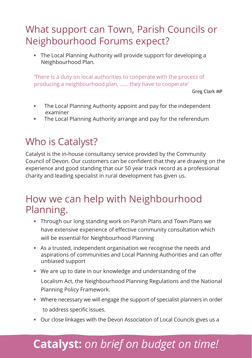#### What support can Town, Parish Councils or Neighbourhood Forums expect?

 . The Local Planning Authority will provide support for developing a Neighbourhood Plan.

'There is a duty on local authorities to cooperate with the process of producing a neighbourhood plan, …… they have to cooperate'

Greg Clark MP

- . The Local Planning Authority appoint and pay for the independent examiner
- . The Local Planning Authority arrange and pay for the referendum

#### Who is Catalyst?

Catalyst is the in-house consultancy service provided by the Community Council of Devon. Our customers can be confident that they are drawing on the experience and good standing that our 50 year track record as a professional charity and leading specialist in rural development has given us.

#### How we can help with Neighbourhood Planning.

- . Through our long standing work on Parish Plans and Town Plans we have extensive experience of effective community consultation which will be essential for Neighbourhood Planning
- . As a trusted, independent organisation we recognise the needs and aspirations of communities and Local Planning Authorities and can offer unbiased support
- . We are up to date in our knowledge and understanding of the Localism Act, the Neighbourhood Planning Regulations and the National Planning Policy Framework.
- . Where necessary we will engage the support of specialist planners in order to address specific issues.
- . Our close linkages with the Devon Association of Local Councils gives us a

## **Catalyst:** *on brief on budget on time!*